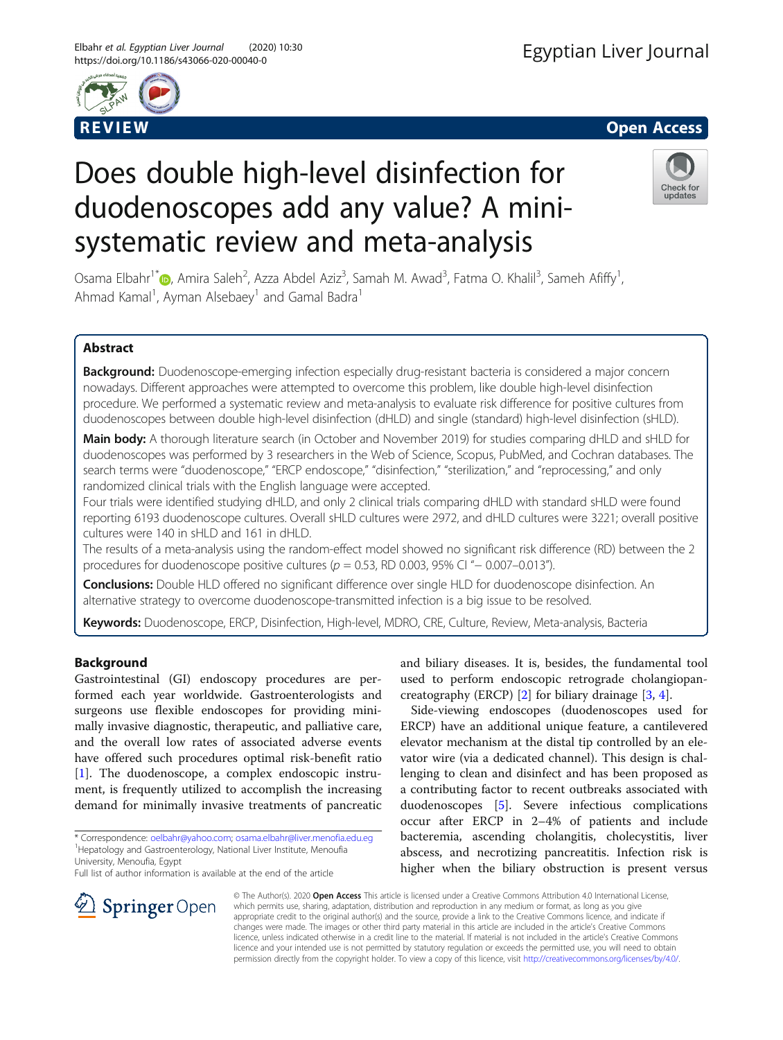



# Does double high-level disinfection for duodenoscopes add any value? A minisystematic review and meta-analysis



Osama Elbahr<sup>1[\\*](https://orcid.org/0000-0001-6902-8982)</sup>�, Amira Saleh<sup>2</sup>, Azza Abdel Aziz<sup>3</sup>, Samah M. Awad<sup>3</sup>, Fatma O. Khalil<sup>3</sup>, Sameh Afiffy<sup>1</sup> , Ahmad Kamal<sup>1</sup>, Ayman Alsebaey<sup>1</sup> and Gamal Badra<sup>1</sup>

# Abstract

Background: Duodenoscope-emerging infection especially drug-resistant bacteria is considered a major concern nowadays. Different approaches were attempted to overcome this problem, like double high-level disinfection procedure. We performed a systematic review and meta-analysis to evaluate risk difference for positive cultures from duodenoscopes between double high-level disinfection (dHLD) and single (standard) high-level disinfection (sHLD).

Main body: A thorough literature search (in October and November 2019) for studies comparing dHLD and sHLD for duodenoscopes was performed by 3 researchers in the Web of Science, Scopus, PubMed, and Cochran databases. The search terms were "duodenoscope," "ERCP endoscope," "disinfection," "sterilization," and "reprocessing," and only randomized clinical trials with the English language were accepted.

Four trials were identified studying dHLD, and only 2 clinical trials comparing dHLD with standard sHLD were found reporting 6193 duodenoscope cultures. Overall sHLD cultures were 2972, and dHLD cultures were 3221; overall positive cultures were 140 in sHLD and 161 in dHLD.

The results of a meta-analysis using the random-effect model showed no significant risk difference (RD) between the 2 procedures for duodenoscope positive cultures (p = 0.53, RD 0.003, 95% CI "− 0.007–0.013").

**Conclusions:** Double HLD offered no significant difference over single HLD for duodenoscope disinfection. An alternative strategy to overcome duodenoscope-transmitted infection is a big issue to be resolved.

Keywords: Duodenoscope, ERCP, Disinfection, High-level, MDRO, CRE, Culture, Review, Meta-analysis, Bacteria

## Background

Gastrointestinal (GI) endoscopy procedures are performed each year worldwide. Gastroenterologists and surgeons use flexible endoscopes for providing minimally invasive diagnostic, therapeutic, and palliative care, and the overall low rates of associated adverse events have offered such procedures optimal risk-benefit ratio [[1\]](#page-3-0). The duodenoscope, a complex endoscopic instrument, is frequently utilized to accomplish the increasing demand for minimally invasive treatments of pancreatic

\* Correspondence: [oelbahr@yahoo.com;](mailto:oelbahr@yahoo.com) [osama.elbahr@liver.menofia.edu.eg](mailto:osama.elbahr@liver.menofia.edu.eg) <sup>1</sup> <sup>1</sup> Hepatology and Gastroenterology, National Liver Institute, Menoufia University, Menoufia, Egypt

Full list of author information is available at the end of the article

and biliary diseases. It is, besides, the fundamental tool used to perform endoscopic retrograde cholangiopancreatography (ERCP) [[2\]](#page-3-0) for biliary drainage [\[3](#page-3-0), [4](#page-3-0)].

Side-viewing endoscopes (duodenoscopes used for ERCP) have an additional unique feature, a cantilevered elevator mechanism at the distal tip controlled by an elevator wire (via a dedicated channel). This design is challenging to clean and disinfect and has been proposed as a contributing factor to recent outbreaks associated with duodenoscopes [\[5](#page-3-0)]. Severe infectious complications occur after ERCP in 2–4% of patients and include bacteremia, ascending cholangitis, cholecystitis, liver abscess, and necrotizing pancreatitis. Infection risk is higher when the biliary obstruction is present versus

© The Author(s). 2020 Open Access This article is licensed under a Creative Commons Attribution 4.0 International License, which permits use, sharing, adaptation, distribution and reproduction in any medium or format, as long as you give appropriate credit to the original author(s) and the source, provide a link to the Creative Commons licence, and indicate if changes were made. The images or other third party material in this article are included in the article's Creative Commons licence, unless indicated otherwise in a credit line to the material. If material is not included in the article's Creative Commons licence and your intended use is not permitted by statutory regulation or exceeds the permitted use, you will need to obtain permission directly from the copyright holder. To view a copy of this licence, visit <http://creativecommons.org/licenses/by/4.0/>.

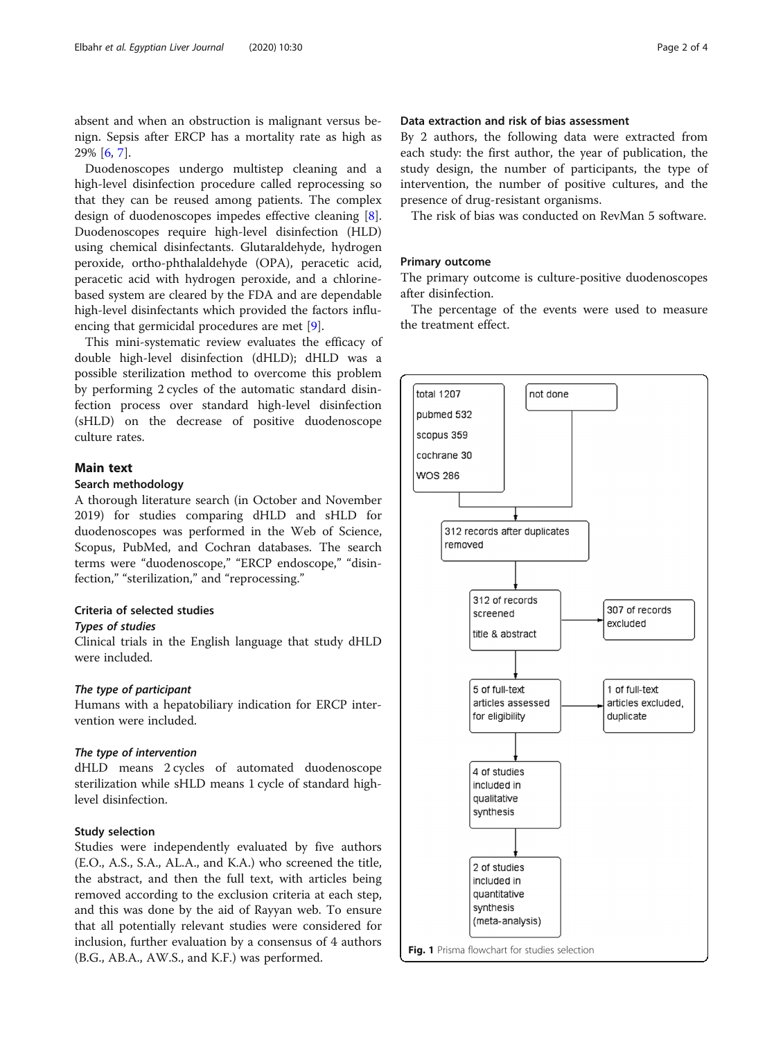<span id="page-1-0"></span>absent and when an obstruction is malignant versus benign. Sepsis after ERCP has a mortality rate as high as 29% [\[6](#page-3-0), [7](#page-3-0)].

Duodenoscopes undergo multistep cleaning and a high-level disinfection procedure called reprocessing so that they can be reused among patients. The complex design of duodenoscopes impedes effective cleaning [\[8](#page-3-0)]. Duodenoscopes require high-level disinfection (HLD) using chemical disinfectants. Glutaraldehyde, hydrogen peroxide, ortho-phthalaldehyde (OPA), peracetic acid, peracetic acid with hydrogen peroxide, and a chlorinebased system are cleared by the FDA and are dependable high-level disinfectants which provided the factors influencing that germicidal procedures are met [[9](#page-3-0)].

This mini-systematic review evaluates the efficacy of double high-level disinfection (dHLD); dHLD was a possible sterilization method to overcome this problem by performing 2 cycles of the automatic standard disinfection process over standard high-level disinfection (sHLD) on the decrease of positive duodenoscope culture rates.

## Main text

## Search methodology

A thorough literature search (in October and November 2019) for studies comparing dHLD and sHLD for duodenoscopes was performed in the Web of Science, Scopus, PubMed, and Cochran databases. The search terms were "duodenoscope," "ERCP endoscope," "disinfection," "sterilization," and "reprocessing."

## Criteria of selected studies

## Types of studies

Clinical trials in the English language that study dHLD were included.

## The type of participant

Humans with a hepatobiliary indication for ERCP intervention were included.

## The type of intervention

dHLD means 2 cycles of automated duodenoscope sterilization while sHLD means 1 cycle of standard highlevel disinfection.

## Study selection

Studies were independently evaluated by five authors (E.O., A.S., S.A., AL.A., and K.A.) who screened the title, the abstract, and then the full text, with articles being removed according to the exclusion criteria at each step, and this was done by the aid of Rayyan web. To ensure that all potentially relevant studies were considered for inclusion, further evaluation by a consensus of 4 authors (B.G., AB.A., AW.S., and K.F.) was performed.

## Data extraction and risk of bias assessment

By 2 authors, the following data were extracted from each study: the first author, the year of publication, the study design, the number of participants, the type of intervention, the number of positive cultures, and the presence of drug-resistant organisms.

The risk of bias was conducted on RevMan 5 software.

### Primary outcome

The primary outcome is culture-positive duodenoscopes after disinfection.

The percentage of the events were used to measure the treatment effect.

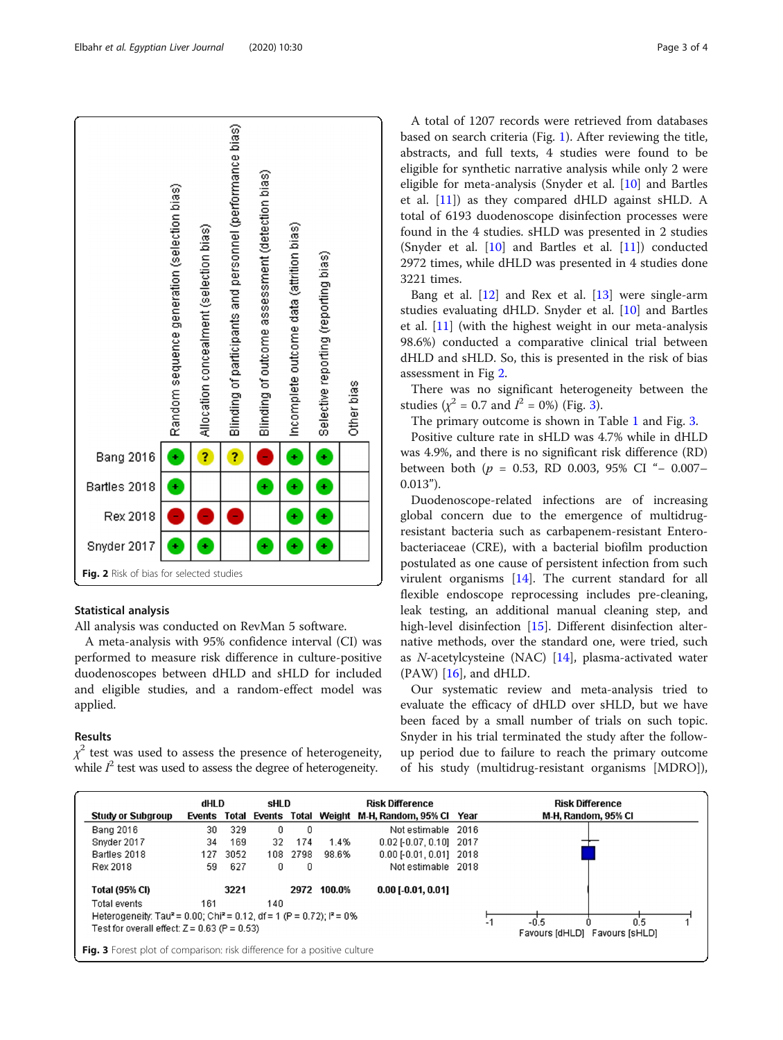

#### Statistical analysis

All analysis was conducted on RevMan 5 software.

A meta-analysis with 95% confidence interval (CI) was performed to measure risk difference in culture-positive duodenoscopes between dHLD and sHLD for included and eligible studies, and a random-effect model was applied.

## Results

 $\chi^2$  test was used to assess the presence of heterogeneity, while  $I^2$  test was used to assess the degree of heterogeneity.

A total of 1207 records were retrieved from databases based on search criteria (Fig. [1](#page-1-0)). After reviewing the title, abstracts, and full texts, 4 studies were found to be eligible for synthetic narrative analysis while only 2 were eligible for meta-analysis (Snyder et al. [[10\]](#page-3-0) and Bartles et al. [\[11](#page-3-0)]) as they compared dHLD against sHLD. A total of 6193 duodenoscope disinfection processes were found in the 4 studies. sHLD was presented in 2 studies (Snyder et al. [[10\]](#page-3-0) and Bartles et al. [\[11](#page-3-0)]) conducted 2972 times, while dHLD was presented in 4 studies done 3221 times.

Bang et al.  $[12]$  and Rex et al.  $[13]$  $[13]$  $[13]$  were single-arm studies evaluating dHLD. Snyder et al. [[10](#page-3-0)] and Bartles et al. [\[11\]](#page-3-0) (with the highest weight in our meta-analysis 98.6%) conducted a comparative clinical trial between dHLD and sHLD. So, this is presented in the risk of bias assessment in Fig 2.

There was no significant heterogeneity between the studies ( $\chi^2 = 0.7$  and  $I^2 = 0\%$ ) (Fig. 3).

The primary outcome is shown in Table [1](#page-3-0) and Fig. 3.

Positive culture rate in sHLD was 4.7% while in dHLD was 4.9%, and there is no significant risk difference (RD) between both ( $p = 0.53$ , RD 0.003, 95% CI "- 0.007-0.013").

Duodenoscope-related infections are of increasing global concern due to the emergence of multidrugresistant bacteria such as carbapenem-resistant Enterobacteriaceae (CRE), with a bacterial biofilm production postulated as one cause of persistent infection from such virulent organisms [\[14](#page-3-0)]. The current standard for all flexible endoscope reprocessing includes pre-cleaning, leak testing, an additional manual cleaning step, and high-level disinfection [\[15](#page-3-0)]. Different disinfection alternative methods, over the standard one, were tried, such as  $N$ -acetylcysteine (NAC) [[14](#page-3-0)], plasma-activated water  $(PAW)$  [[16](#page-3-0)], and dHLD.

Our systematic review and meta-analysis tried to evaluate the efficacy of dHLD over sHLD, but we have been faced by a small number of trials on such topic. Snyder in his trial terminated the study after the followup period due to failure to reach the primary outcome of his study (multidrug-resistant organisms [MDRO]),